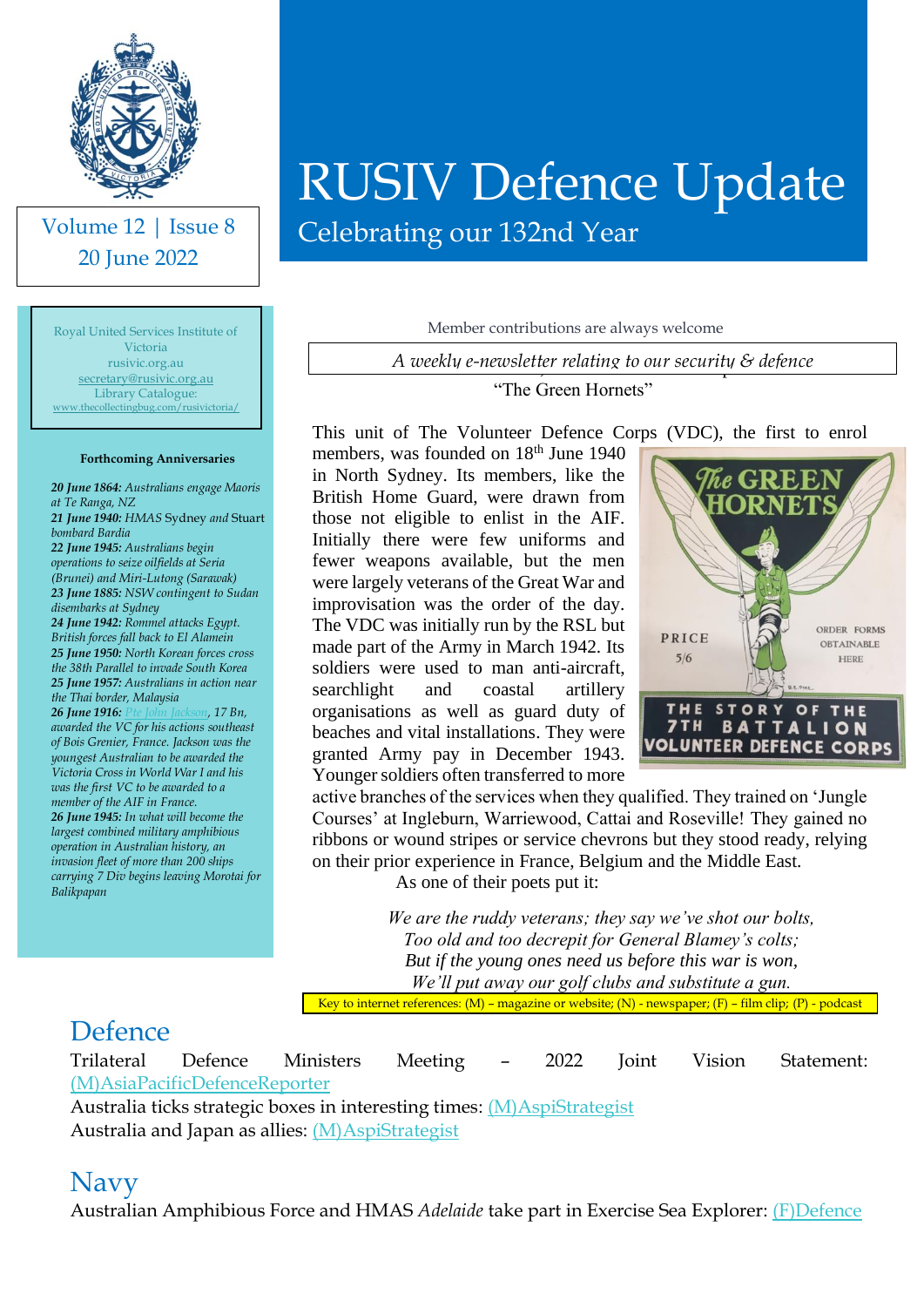

Volume 12 | Issue 8 20 June 2022

Royal United Services Institute of Victoria rusivic.org.au [secretary@rusivic.org.au](mailto:secretary@rusivic.org.au) Library Catalogue: [www.thecollectingbug.com/rusivictoria/](http://www.thecollectingbug.com/rusivictoria/)

#### **Forthcoming Anniversaries**

*20 June 1864: Australians engage Maoris at Te Ranga, NZ 21 June 1940: HMAS* Sydney *and* Stuart *bombard Bardia 22 June 1945: Australians begin operations to seize oilfields at Seria (Brunei) and Miri-Lutong (Sarawak) 23 June 1885: NSW contingent to Sudan disembarks at Sydney 24 June 1942: Rommel attacks Egypt. British forces fall back to El Alamein 25 June 1950: North Korean forces cross the 38th Parallel to invade South Korea 25 June 1957: Australians in action near the Thai border, Malaysia 26 June 1916: [Pte John Jackson,](https://adb.anu.edu.au/biography/jackson-john-william-6813) 17 Bn, awarded the VC for his actions southeast of Bois Grenier, France. Jackson was the youngest Australian to be awarded the Victoria Cross in World War I and his was the first VC to be awarded to a member of the AIF in France. 26 June 1945: In what will become the largest combined military amphibious operation in Australian history, an invasion fleet of more than 200 ships carrying 7 Div begins leaving Morotai for Balikpapan*

# RUSIV Defence Update

Celebrating our 132nd Year

Member contributions are always welcome

Seventh Battalion, Volunteer Defence Corps *A weekly e-newsletter relating to our security & defence*

"The Green Hornets"

This unit of The Volunteer Defence Corps (VDC), the first to enrol

members, was founded on 18<sup>th</sup> June 1940 in North Sydney. Its members, like the British Home Guard, were drawn from those not eligible to enlist in the AIF. Initially there were few uniforms and fewer weapons available, but the men were largely veterans of the Great War and improvisation was the order of the day. The VDC was initially run by the RSL but made part of the Army in March 1942. Its soldiers were used to man anti-aircraft, searchlight and coastal artillery organisations as well as guard duty of beaches and vital installations. They were granted Army pay in December 1943. Younger soldiers often transferred to more



active branches of the services when they qualified. They trained on 'Jungle Courses' at Ingleburn, Warriewood, Cattai and Roseville! They gained no ribbons or wound stripes or service chevrons but they stood ready, relying on their prior experience in France, Belgium and the Middle East.

As one of their poets put it:

*We are the ruddy veterans; they say we've shot our bolts, Too old and too decrepit for General Blamey's colts; But if the young ones need us before this war is won, We'll put away our golf clubs and substitute a gun.*

Key to internet references: (M) – magazine or website; (N) - newspaper; (F) – film clip; (P) - podcast

#### Defence

Trilateral Defence Ministers Meeting – 2022 Joint Vision Statement: [\(M\)AsiaPacificDefenceReporter](https://asiapacificdefencereporter.com/statement-trilateral-defence-ministers-meeting-2022-joint-vision-statement/?utm_source=Asia+Pacific+Defence+Reporter&utm_campaign=a76e0daa7e-RSS_News+BuEMAIL_CAMPAIGN&utm_medium=email&utm_term=0_513319f9bb-a76e0daa7e-66246413) Australia ticks strategic boxes in interesting times: [\(M\)AspiStrategist](https://www.aspistrategist.org.au/australia-ticks-strategic-boxes-in-interesting-times/?utm_medium=email&utm_campaign=Daily%20The%20Strategist&utm_content=Daily%20The%20Strategist+CID_eaaf9bc691a9b8400adda2ccee1a756d&utm_source=CampaignMonitor&utm_term=Australia%20ticks%20strategic%20boxes%20in%20interesting%20times)

Australia and Japan as allies: [\(M\)AspiStrategist](https://www.aspistrategist.org.au/australia-and-japan-as-allies/?utm_medium=email&utm_campaign=Daily%20The%20Strategist&utm_content=Daily%20The%20Strategist+CID_f8002a124661d341eaf7e56f8a83365f&utm_source=CampaignMonitor&utm_term=Australia%20and%20Japan%20as%20allies)

#### Navy

Australian Amphibious Force and HMAS *Adelaide* take part in Exercise Sea Explorer: [\(F\)Defence](https://www.youtube.com/watch?v=jKQ97q7ldh8)